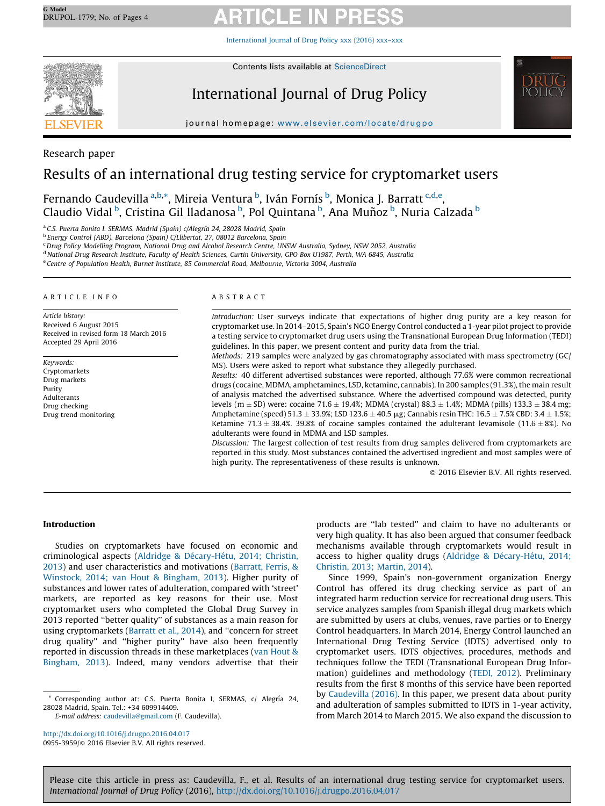[International](http://dx.doi.org/10.1016/j.drugpo.2016.04.017) Journal of Drug Policy xxx (2016) xxx–xxx



Contents lists available at [ScienceDirect](http://www.sciencedirect.com/science/journal/09553959)

International Journal of Drug Policy



journal homepage: www.elsevier.com/locate/drugpo

# Research paper

# Results of an international drug testing service for cryptomarket users

Fernando Caudevilla <sup>a,b,</sup>\*, Mireia Ventura <sup>b</sup>, Iván Fornís <sup>b</sup>, Monica J. Barratt <sup>c,d,e</sup>, Claudio Vidal <sup>b</sup>, Cristina Gil lladanosa <sup>b</sup>, Pol Quintana <sup>b</sup>, Ana Muñoz <sup>b</sup>, Nuria Calzada <sup>b</sup>

<sup>a</sup> C.S. Puerta Bonita I. SERMAS. Madrid (Spain) c/Alegría 24, 28028 Madrid, Spain

<sup>b</sup> Energy Control (ABD). Barcelona (Spain) C/Llibertat, 27, 08012 Barcelona, Spain

<sup>c</sup> Drug Policy Modelling Program, National Drug and Alcohol Research Centre, UNSW Australia, Sydney, NSW 2052, Australia

<sup>d</sup> National Drug Research Institute, Faculty of Health Sciences, Curtin University, GPO Box U1987, Perth, WA 6845, Australia

<sup>e</sup> Centre of Population Health, Burnet Institute, 85 Commercial Road, Melbourne, Victoria 3004, Australia

### A R T I C L E I N F O

Article history: Received 6 August 2015 Received in revised form 18 March 2016 Accepted 29 April 2016

Keywords: Cryptomarkets Drug markets Purity Adulterants Drug checking Drug trend monitoring

### A B S T R A C T

Introduction: User surveys indicate that expectations of higher drug purity are a key reason for cryptomarket use. In 2014–2015, Spain's NGO Energy Control conducted a 1-year pilot project to provide a testing service to cryptomarket drug users using the Transnational European Drug Information (TEDI) guidelines. In this paper, we present content and purity data from the trial.

Methods: 219 samples were analyzed by gas chromatography associated with mass spectrometry (GC/ MS). Users were asked to report what substance they allegedly purchased.

Results: 40 different advertised substances were reported, although 77.6% were common recreational drugs (cocaine, MDMA, amphetamines, LSD, ketamine, cannabis). In 200 samples (91.3%), the main result of analysis matched the advertised substance. Where the advertised compound was detected, purity levels (m  $\pm$  SD) were: cocaine 71.6  $\pm$  19.4%; MDMA (crystal) 88.3  $\pm$  1.4%; MDMA (pills) 133.3  $\pm$  38.4 mg; Amphetamine (speed)  $51.3\pm33.9\%$ ; LSD 123.6  $\pm$  40.5 µg; Cannabis resin THC: 16.5  $\pm$  7.5% CBD: 3.4  $\pm$  1.5%; Ketamine 71.3  $\pm$  38.4%. 39.8% of cocaine samples contained the adulterant levamisole (11.6  $\pm$  8%). No adulterants were found in MDMA and LSD samples.

Discussion: The largest collection of test results from drug samples delivered from cryptomarkets are reported in this study. Most substances contained the advertised ingredient and most samples were of high purity. The representativeness of these results is unknown.

- 2016 Elsevier B.V. All rights reserved.

# Introduction

Studies on cryptomarkets have focused on economic and criminological aspects (Aldridge & Décary-Hétu, 2014; Christin, [2013\)](#page-2-0) and user characteristics and motivations [\(Barratt,](#page-2-0) Ferris, & [Winstock,](#page-2-0) 2014; van Hout & Bingham, 2013). Higher purity of substances and lower rates of adulteration, compared with 'street' markets, are reported as key reasons for their use. Most cryptomarket users who completed the Global Drug Survey in 2013 reported ''better quality'' of substances as a main reason for using cryptomarkets ([Barratt](#page-2-0) et al., 2014), and ''concern for street drug quality'' and ''higher purity'' have also been frequently reported in discussion threads in these marketplaces (van [Hout](#page-3-0) & [Bingham,](#page-3-0) 2013). Indeed, many vendors advertise that their

\* Corresponding author at: C.S. Puerta Bonita I, SERMAS, c/ Alegrı´a 24, 28028 Madrid, Spain. Tel.: +34 609914409.

E-mail address: [caudevilla@gmail.com](mailto:caudevilla@gmail.com) (F. Caudevilla).

<http://dx.doi.org/10.1016/j.drugpo.2016.04.017> 0955-3959/© 2016 Elsevier B.V. All rights reserved. products are ''lab tested'' and claim to have no adulterants or very high quality. It has also been argued that consumer feedback mechanisms available through cryptomarkets would result in access to higher quality drugs (Aldridge & Décary-Hétu, 2014; [Christin,](#page-2-0) 2013; Martin, 2014).

Since 1999, Spain's non-government organization Energy Control has offered its drug checking service as part of an integrated harm reduction service for recreational drug users. This service analyzes samples from Spanish illegal drug markets which are submitted by users at clubs, venues, rave parties or to Energy Control headquarters. In March 2014, Energy Control launched an International Drug Testing Service (IDTS) advertised only to cryptomarket users. IDTS objectives, procedures, methods and techniques follow the TEDI (Transnational European Drug Information) guidelines and methodology (TEDI, [2012\)](#page-3-0). Preliminary results from the first 8 months of this service have been reported by [Caudevilla](#page-3-0) (2016). In this paper, we present data about purity and adulteration of samples submitted to IDTS in 1-year activity, from March 2014 to March 2015. We also expand the discussion to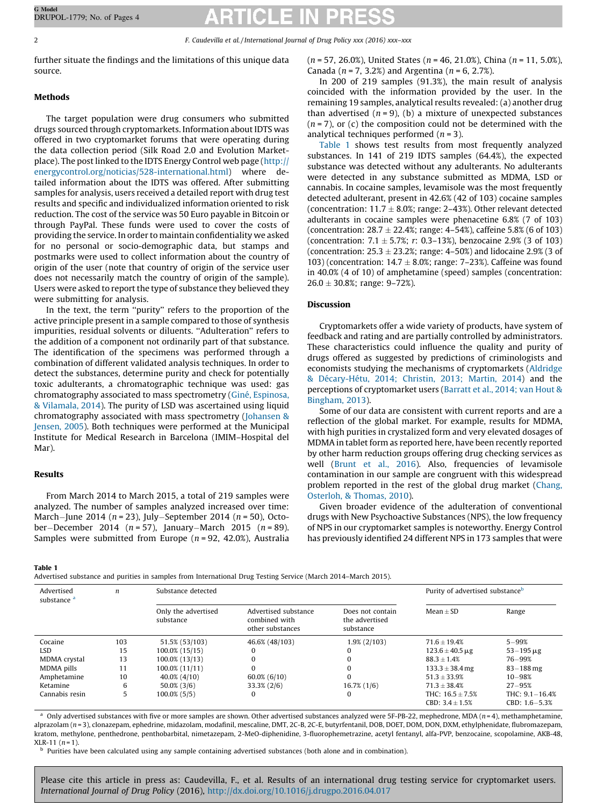2 F. Caudevilla et al. / International Journal of Drug Policy xxx (2016) xxx–xxx

further situate the findings and the limitations of this unique data source.

# Methods

The target population were drug consumers who submitted drugs sourced through cryptomarkets. Information about IDTS was offered in two cryptomarket forums that were operating during the data collection period (Silk Road 2.0 and Evolution Marketplace). The post linked to the IDTS Energy Control web page ([http://](http://energycontrol.org/noticias/528-international.html) [energycontrol.org/noticias/528-international.html\)](http://energycontrol.org/noticias/528-international.html) where detailed information about the IDTS was offered. After submitting samples for analysis, users received a detailed report with drug test results and specific and individualized information oriented to risk reduction. The cost of the service was 50 Euro payable in Bitcoin or through PayPal. These funds were used to cover the costs of providing the service. In order to maintain confidentiality we asked for no personal or socio-demographic data, but stamps and postmarks were used to collect information about the country of origin of the user (note that country of origin of the service user does not necessarily match the country of origin of the sample). Users were asked to report the type of substance they believed they were submitting for analysis.

In the text, the term ''purity'' refers to the proportion of the active principle present in a sample compared to those of synthesis impurities, residual solvents or diluents. ''Adulteration'' refers to the addition of a component not ordinarily part of that substance. The identification of the specimens was performed through a combination of different validated analysis techniques. In order to detect the substances, determine purity and check for potentially toxic adulterants, a chromatographic technique was used: gas chromatography associated to mass spectrometry (Giné, [Espinosa,](#page-3-0) & [Vilamala,](#page-3-0) 2014). The purity of LSD was ascertained using liquid chromatography associated with mass spectrometry ([Johansen](#page-3-0) & [Jensen,](#page-3-0) 2005). Both techniques were performed at the Municipal Institute for Medical Research in Barcelona (IMIM–Hospital del Mar).

# Results

From March 2014 to March 2015, a total of 219 samples were analyzed. The number of samples analyzed increased over time: March-June 2014 ( $n = 23$ ), July-September 2014 ( $n = 50$ ), October-December 2014 ( $n = 57$ ), January-March 2015 ( $n = 89$ ). Samples were submitted from Europe ( $n = 92, 42.0\%$ ), Australia  $(n = 57, 26.0\%)$ , United States  $(n = 46, 21.0\%)$ , China  $(n = 11, 5.0\%)$ , Canada ( $n = 7$ , 3.2%) and Argentina ( $n = 6$ , 2.7%).

In 200 of 219 samples (91.3%), the main result of analysis coincided with the information provided by the user. In the remaining 19 samples, analytical results revealed: (a) another drug than advertised  $(n = 9)$ , (b) a mixture of unexpected substances  $(n = 7)$ , or (c) the composition could not be determined with the analytical techniques performed  $(n = 3)$ .

Table 1 shows test results from most frequently analyzed substances. In 141 of 219 IDTS samples (64.4%), the expected substance was detected without any adulterants. No adulterants were detected in any substance submitted as MDMA, LSD or cannabis. In cocaine samples, levamisole was the most frequently detected adulterant, present in 42.6% (42 of 103) cocaine samples (concentration: 11.7  $\pm$  8.0%; range: 2–43%). Other relevant detected adulterants in cocaine samples were phenacetine 6.8% (7 of 103) (concentration: 28.7  $\pm$  22.4%; range: 4–54%), caffeine 5.8% (6 of 103) (concentration: 7.1  $\pm$  5.7%; r: 0.3–13%), benzocaine 2.9% (3 of 103) (concentration: 25.3  $\pm$  23.2%; range: 4–50%) and lidocaine 2.9% (3 of 103) (concentration:  $14.7 \pm 8.0\%$ ; range: 7–23%). Caffeine was found in 40.0% (4 of 10) of amphetamine (speed) samples (concentration:  $26.0 \pm 30.8\%$ ; range: 9–72%).

# Discussion

Cryptomarkets offer a wide variety of products, have system of feedback and rating and are partially controlled by administrators. These characteristics could influence the quality and purity of drugs offered as suggested by predictions of criminologists and economists studying the mechanisms of cryptomarkets [\(Aldridge](#page-2-0) & Décary-Hétu, 2014; Christin, 2013; Martin, 2014) and the perceptions of cryptomarket users [\(Barratt](#page-2-0) et al., 2014; van Hout & [Bingham,](#page-2-0) 2013).

Some of our data are consistent with current reports and are a reflection of the global market. For example, results for MDMA, with high purities in crystalized form and very elevated dosages of MDMA in tablet form as reported here, have been recently reported by other harm reduction groups offering drug checking services as well [\(Brunt](#page-2-0) et al., 2016). Also, frequencies of levamisole contamination in our sample are congruent with this widespread problem reported in the rest of the global drug market [\(Chang,](#page-3-0) [Osterloh,](#page-3-0) & Thomas, 2010).

Given broader evidence of the adulteration of conventional drugs with New Psychoactive Substances (NPS), the low frequency of NPS in our cryptomarket samples is noteworthy. Energy Control has previously identified 24 different NPS in 173 samples that were

### Table 1

Advertised substance and purities in samples from International Drug Testing Service (March 2014–March 2015).

| Advertised<br>substance <sup>a</sup> | n   | Substance detected               |                                                           |                                                 | Purity of advertised substance <sup>b</sup> |                                 |
|--------------------------------------|-----|----------------------------------|-----------------------------------------------------------|-------------------------------------------------|---------------------------------------------|---------------------------------|
|                                      |     | Only the advertised<br>substance | Advertised substance<br>combined with<br>other substances | Does not contain<br>the advertised<br>substance | Mean $\pm$ SD                               | Range                           |
| Cocaine                              | 103 | 51.5% (53/103)                   | 46.6% (48/103)                                            | 1.9% (2/103)                                    | $71.6 \pm 19.4%$                            | $5 - 99%$                       |
| LSD.                                 | 15  | 100.0% (15/15)                   | 0                                                         |                                                 | $123.6 \pm 40.5 \,\mathrm{\mu g}$           | $53 - 195 \,\mu g$              |
| MDMA crystal                         | 13  | 100.0% (13/13)                   | O                                                         |                                                 | $88.3 + 1.4%$                               | 76-99%                          |
| MDMA pills                           | 11  | 100.0% (11/11)                   | 0                                                         |                                                 | $133.3 \pm 38.4$ mg                         | $83 - 188$ mg                   |
| Amphetamine                          | 10  | $40.0\%$ (4/10)                  | $60.0\%$ (6/10)                                           | $\Omega$                                        | $51.3 + 33.9%$                              | $10 - 98%$                      |
| Ketamine                             | 6   | $50.0\%$ (3/6)                   | $33.3\% (2/6)$                                            | $16.7\%$ (1/6)                                  | $71.3 + 38.4%$                              | $27 - 95%$                      |
| Cannabis resin                       | 5   | 100.0% (5/5)                     | 0                                                         | 0                                               | THC: $16.5 \pm 7.5%$<br>CBD: $3.4 \pm 1.5%$ | THC: 9.1-16.4%<br>CBD: 1.6-5.3% |

Only advertised substances with five or more samples are shown. Other advertised substances analyzed were 5F-PB-22, mephedrone, MDA ( $n=4$ ), methamphetamine, alprazolam (n = 3), clonazepam, ephedrine, midazolam, modafinil, mescaline, DMT, 2C-B, 2C-E, butyrfentanil, DOB, DOET, DOM, DON, DXM, ethylphenidate, flubromazepam, kratom, methylone, penthedrone, penthobarbital, nimetazepam, 2-MeO-diphenidine, 3-fluorophemetrazine, acetyl fentanyl, alfa-PVP, benzocaine, scopolamine, AKB-48,  $XLR-11$   $(n=1)$ .

<sup>b</sup> Purities have been calculated using any sample containing advertised substances (both alone and in combination).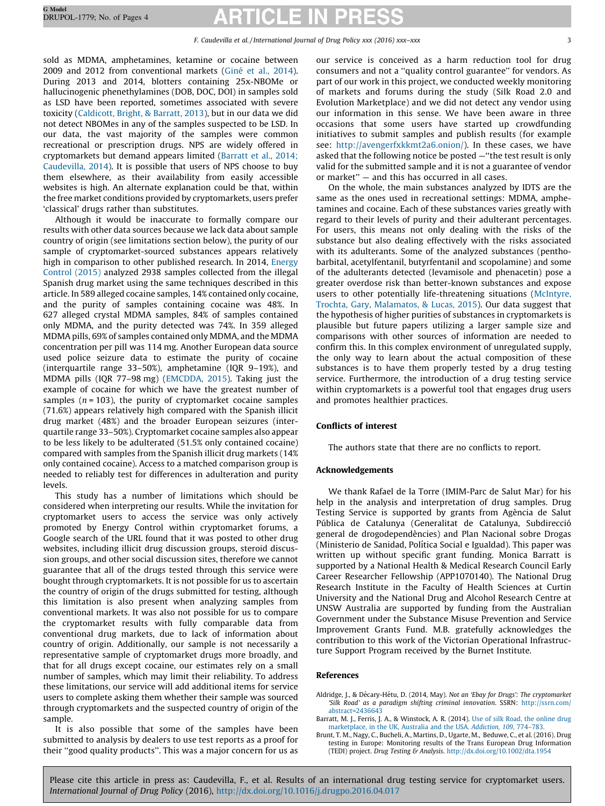<span id="page-2-0"></span>sold as MDMA, amphetamines, ketamine or cocaine between 2009 and 2012 from conventional markets (Giné et al., [2014\)](#page-3-0). During 2013 and 2014, blotters containing 25x-NBOMe or hallucinogenic phenethylamines (DOB, DOC, DOI) in samples sold as LSD have been reported, sometimes associated with severe toxicity ([Caldicott,](#page-3-0) Bright, & Barratt, 2013), but in our data we did not detect NBOMes in any of the samples suspected to be LSD. In our data, the vast majority of the samples were common recreational or prescription drugs. NPS are widely offered in cryptomarkets but demand appears limited (Barratt et al., 2014; Caudevilla, 2014). It is possible that users of NPS choose to buy them elsewhere, as their availability from easily accessible websites is high. An alternate explanation could be that, within the free market conditions provided by cryptomarkets, users prefer 'classical' drugs rather than substitutes.

Although it would be inaccurate to formally compare our results with other data sources because we lack data about sample country of origin (see limitations section below), the purity of our sample of cryptomarket-sourced substances appears relatively high in comparison to other published research. In 2014, [Energy](#page-3-0) [Control](#page-3-0) (2015) analyzed 2938 samples collected from the illegal Spanish drug market using the same techniques described in this article. In 589 alleged cocaine samples, 14% contained only cocaine, and the purity of samples containing cocaine was 48%. In 627 alleged crystal MDMA samples, 84% of samples contained only MDMA, and the purity detected was 74%. In 359 alleged MDMA pills, 69% of samples contained only MDMA, and the MDMA concentration per pill was 114 mg. Another European data source used police seizure data to estimate the purity of cocaine (interquartile range 33–50%), amphetamine (IQR 9–19%), and MDMA pills (IQR 77–98 mg) ([EMCDDA,](#page-3-0) 2015). Taking just the example of cocaine for which we have the greatest number of samples ( $n = 103$ ), the purity of cryptomarket cocaine samples (71.6%) appears relatively high compared with the Spanish illicit drug market (48%) and the broader European seizures (interquartile range 33–50%). Cryptomarket cocaine samples also appear to be less likely to be adulterated (51.5% only contained cocaine) compared with samples from the Spanish illicit drug markets (14% only contained cocaine). Access to a matched comparison group is needed to reliably test for differences in adulteration and purity levels.

This study has a number of limitations which should be considered when interpreting our results. While the invitation for cryptomarket users to access the service was only actively promoted by Energy Control within cryptomarket forums, a Google search of the URL found that it was posted to other drug websites, including illicit drug discussion groups, steroid discussion groups, and other social discussion sites, therefore we cannot guarantee that all of the drugs tested through this service were bought through cryptomarkets. It is not possible for us to ascertain the country of origin of the drugs submitted for testing, although this limitation is also present when analyzing samples from conventional markets. It was also not possible for us to compare the cryptomarket results with fully comparable data from conventional drug markets, due to lack of information about country of origin. Additionally, our sample is not necessarily a representative sample of cryptomarket drugs more broadly, and that for all drugs except cocaine, our estimates rely on a small number of samples, which may limit their reliability. To address these limitations, our service will add additional items for service users to complete asking them whether their sample was sourced through cryptomarkets and the suspected country of origin of the sample.

It is also possible that some of the samples have been submitted to analysis by dealers to use test reports as a proof for their ''good quality products''. This was a major concern for us as our service is conceived as a harm reduction tool for drug consumers and not a ''quality control guarantee'' for vendors. As part of our work in this project, we conducted weekly monitoring of markets and forums during the study (Silk Road 2.0 and Evolution Marketplace) and we did not detect any vendor using our information in this sense. We have been aware in three occasions that some users have started up crowdfunding initiatives to submit samples and publish results (for example see: [http://avengerfxkkmt2a6.onion/\)](http://avengerfxkkmt2a6.onion/). In these cases, we have asked that the following notice be posted —''the test result is only valid for the submitted sample and it is not a guarantee of vendor or market'' — and this has occurred in all cases.

On the whole, the main substances analyzed by IDTS are the same as the ones used in recreational settings: MDMA, amphetamines and cocaine. Each of these substances varies greatly with regard to their levels of purity and their adulterant percentages. For users, this means not only dealing with the risks of the substance but also dealing effectively with the risks associated with its adulterants. Some of the analyzed substances (penthobarbital, acetylfentanil, butyrfentanil and scopolamine) and some of the adulterants detected (levamisole and phenacetin) pose a greater overdose risk than better-known substances and expose users to other potentially life-threatening situations ([McIntyre,](#page-3-0) Trochta, Gary, [Malamatos,](#page-3-0) & Lucas, 2015). Our data suggest that the hypothesis of higher purities of substances in cryptomarkets is plausible but future papers utilizing a larger sample size and comparisons with other sources of information are needed to confirm this. In this complex environment of unregulated supply, the only way to learn about the actual composition of these substances is to have them properly tested by a drug testing service. Furthermore, the introduction of a drug testing service within cryptomarkets is a powerful tool that engages drug users and promotes healthier practices.

# Conflicts of interest

The authors state that there are no conflicts to report.

# Acknowledgements

We thank Rafael de la Torre (IMIM-Parc de Salut Mar) for his help in the analysis and interpretation of drug samples. Drug Testing Service is supported by grants from Agència de Salut Pública de Catalunya (Generalitat de Catalunya, Subdirecció general de drogodependències) and Plan Nacional sobre Drogas (Ministerio de Sanidad, Política Social e Igualdad). This paper was written up without specific grant funding. Monica Barratt is supported by a National Health & Medical Research Council Early Career Researcher Fellowship (APP1070140). The National Drug Research Institute in the Faculty of Health Sciences at Curtin University and the National Drug and Alcohol Research Centre at UNSW Australia are supported by funding from the Australian Government under the Substance Misuse Prevention and Service Improvement Grants Fund. M.B. gratefully acknowledges the contribution to this work of the Victorian Operational Infrastructure Support Program received by the Burnet Institute.

### References

Aldridge, J., & Décary-Hétu, D. (2014, May). Not an 'Ebay for Drugs': The cryptomarket 'Silk Road' as a paradigm shifting criminal innovation. SSRN: [http://ssrn.com/](http://ssrn.com/abstract=2436643) [abstract=2436643](http://ssrn.com/abstract=2436643)

- Barratt, M. J., Ferris, J. A., & Winstock, A. R. (2014). Use of silk Road, the [online](http://refhub.elsevier.com/S0955-3959(16)30130-X/sbref0010) drug [marketplace,](http://refhub.elsevier.com/S0955-3959(16)30130-X/sbref0010) in the UK, Australia and the USA. Addiction, 109, 774–783.
- Brunt, T. M., Nagy, C., Bucheli, A., Martins, D., Ugarte, M., Beduwe, C., et al. (2016). Drug testing in Europe: Monitoring results of the Trans European Drug Information (TEDI) project. Drug Testing & Analysis. <http://dx.doi.org/10.1002/dta.1954>